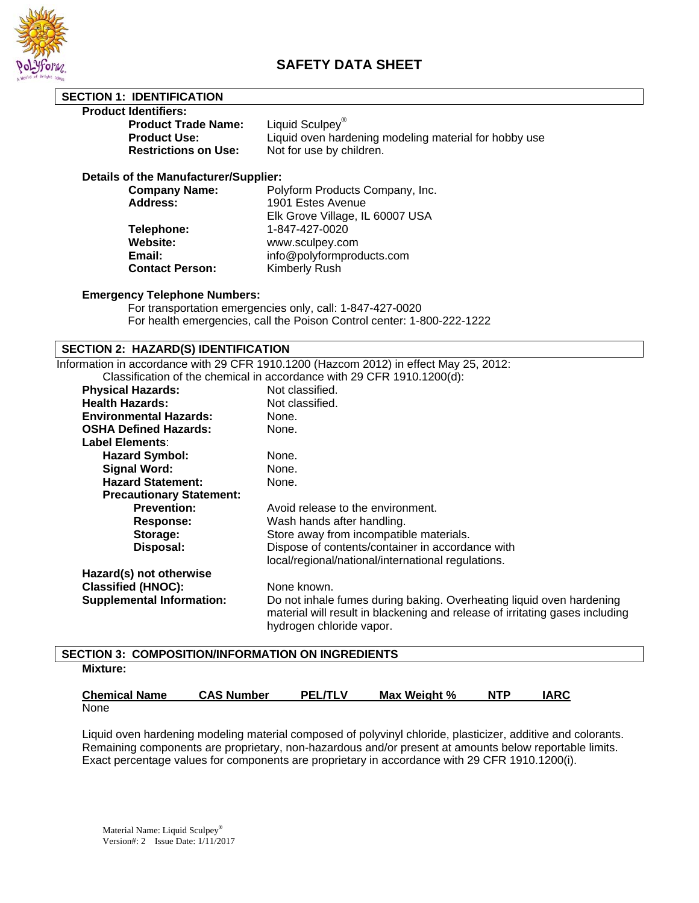

**SECTION 1: IDENTIFICATION** 

# **SAFETY DATA SHEET**

| <b>Product Identifiers:</b>                                                                                                         |                                                                                       |  |  |
|-------------------------------------------------------------------------------------------------------------------------------------|---------------------------------------------------------------------------------------|--|--|
| <b>Product Trade Name:</b>                                                                                                          | Liquid Sculpey <sup>®</sup>                                                           |  |  |
| <b>Product Use:</b>                                                                                                                 | Liquid oven hardening modeling material for hobby use                                 |  |  |
| <b>Restrictions on Use:</b>                                                                                                         | Not for use by children.                                                              |  |  |
|                                                                                                                                     |                                                                                       |  |  |
| Details of the Manufacturer/Supplier:                                                                                               |                                                                                       |  |  |
| <b>Company Name:</b>                                                                                                                | Polyform Products Company, Inc.                                                       |  |  |
| <b>Address:</b>                                                                                                                     | 1901 Estes Avenue                                                                     |  |  |
|                                                                                                                                     | Elk Grove Village, IL 60007 USA                                                       |  |  |
| Telephone:                                                                                                                          | 1-847-427-0020                                                                        |  |  |
| <b>Website:</b>                                                                                                                     | www.sculpey.com                                                                       |  |  |
| Email:                                                                                                                              | info@polyformproducts.com                                                             |  |  |
| <b>Contact Person:</b>                                                                                                              | Kimberly Rush                                                                         |  |  |
| <b>Emergency Telephone Numbers:</b>                                                                                                 |                                                                                       |  |  |
|                                                                                                                                     |                                                                                       |  |  |
| For transportation emergencies only, call: 1-847-427-0020<br>For health emergencies, call the Poison Control center: 1-800-222-1222 |                                                                                       |  |  |
|                                                                                                                                     |                                                                                       |  |  |
| <b>SECTION 2: HAZARD(S) IDENTIFICATION</b>                                                                                          |                                                                                       |  |  |
|                                                                                                                                     | Information in accordance with 29 CFR 1910.1200 (Hazcom 2012) in effect May 25, 2012: |  |  |
|                                                                                                                                     | Classification of the chemical in accordance with 29 CFR 1910.1200(d):                |  |  |
| <b>Physical Hazards:</b>                                                                                                            | Not classified.                                                                       |  |  |
| <b>Health Hazards:</b>                                                                                                              | Not classified.                                                                       |  |  |
| <b>Environmental Hazards:</b>                                                                                                       | None.                                                                                 |  |  |
| <b>OSHA Defined Hazards:</b>                                                                                                        | None.                                                                                 |  |  |
| <b>Label Elements:</b>                                                                                                              |                                                                                       |  |  |
| <b>Hazard Symbol:</b>                                                                                                               | None.                                                                                 |  |  |
| <b>Signal Word:</b>                                                                                                                 | None.                                                                                 |  |  |
| <b>Hazard Statement:</b>                                                                                                            | None.                                                                                 |  |  |
| <b>Precautionary Statement:</b>                                                                                                     |                                                                                       |  |  |
| <b>Prevention:</b>                                                                                                                  | Avoid release to the environment.                                                     |  |  |
| Response:                                                                                                                           | Wash hands after handling.                                                            |  |  |
| Storage:                                                                                                                            | Store away from incompatible materials.                                               |  |  |
| Disposal:                                                                                                                           | Dispose of contents/container in accordance with                                      |  |  |
|                                                                                                                                     | local/regional/national/international regulations.                                    |  |  |
| Hazard(s) not otherwise                                                                                                             |                                                                                       |  |  |
| <b>Classified (HNOC):</b>                                                                                                           | None known.                                                                           |  |  |
| <b>Supplemental Information:</b>                                                                                                    | Do not inhale fumes during baking. Overheating liquid oven hardening                  |  |  |
|                                                                                                                                     | material will result in blackening and release of irritating gases including          |  |  |
|                                                                                                                                     | hydrogen chloride vapor.                                                              |  |  |
|                                                                                                                                     |                                                                                       |  |  |
| <b>SECTION 3: COMPOSITION/INFORMATION ON INGREDIENTS</b>                                                                            |                                                                                       |  |  |

**Mixture:**

| <b>Chemical Name</b> | <b>CAS Number</b> | <b>PEL/TLV</b> | Max Weight % | <b>NTP</b> | <b>IARC</b> |
|----------------------|-------------------|----------------|--------------|------------|-------------|
| None                 |                   |                |              |            |             |

Liquid oven hardening modeling material composed of polyvinyl chloride, plasticizer, additive and colorants. Remaining components are proprietary, non-hazardous and/or present at amounts below reportable limits. Exact percentage values for components are proprietary in accordance with 29 CFR 1910.1200(i).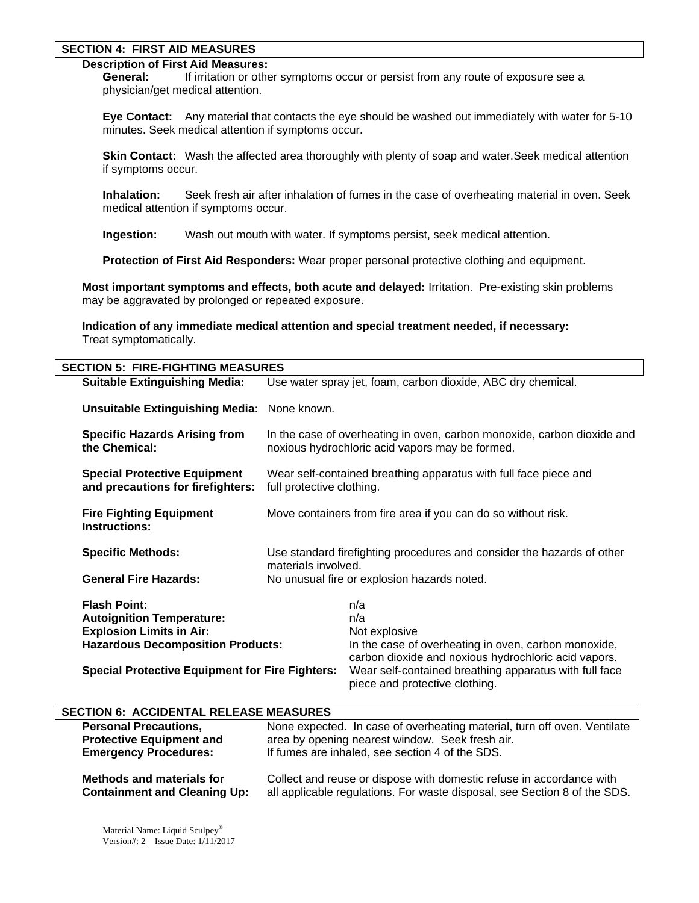#### **SECTION 4: FIRST AID MEASURES**

# **Description of First Aid Measures:**

 **General:** If irritation or other symptoms occur or persist from any route of exposure see a physician/get medical attention.

 **Eye Contact:** Any material that contacts the eye should be washed out immediately with water for 5-10 minutes. Seek medical attention if symptoms occur.

**Skin Contact:** Wash the affected area thoroughly with plenty of soap and water. Seek medical attention if symptoms occur.

 **Inhalation:** Seek fresh air after inhalation of fumes in the case of overheating material in oven. Seek medical attention if symptoms occur.

 **Ingestion:** Wash out mouth with water. If symptoms persist, seek medical attention.

 **Protection of First Aid Responders:** Wear proper personal protective clothing and equipment.

**Most important symptoms and effects, both acute and delayed:** Irritation. Pre-existing skin problems may be aggravated by prolonged or repeated exposure.

**Indication of any immediate medical attention and special treatment needed, if necessary:** Treat symptomatically.

| <b>SECTION 5: FIRE-FIGHTING MEASURES</b>                                 |                                                                                                                            |                                                                                                              |  |  |
|--------------------------------------------------------------------------|----------------------------------------------------------------------------------------------------------------------------|--------------------------------------------------------------------------------------------------------------|--|--|
| <b>Suitable Extinguishing Media:</b>                                     | Use water spray jet, foam, carbon dioxide, ABC dry chemical.                                                               |                                                                                                              |  |  |
| <b>Unsuitable Extinguishing Media:</b> None known.                       |                                                                                                                            |                                                                                                              |  |  |
| <b>Specific Hazards Arising from</b><br>the Chemical:                    | In the case of overheating in oven, carbon monoxide, carbon dioxide and<br>noxious hydrochloric acid vapors may be formed. |                                                                                                              |  |  |
| <b>Special Protective Equipment</b><br>and precautions for firefighters: | Wear self-contained breathing apparatus with full face piece and<br>full protective clothing.                              |                                                                                                              |  |  |
| <b>Fire Fighting Equipment</b><br><b>Instructions:</b>                   | Move containers from fire area if you can do so without risk.                                                              |                                                                                                              |  |  |
| <b>Specific Methods:</b>                                                 | Use standard firefighting procedures and consider the hazards of other<br>materials involved.                              |                                                                                                              |  |  |
| <b>General Fire Hazards:</b>                                             | No unusual fire or explosion hazards noted.                                                                                |                                                                                                              |  |  |
| <b>Flash Point:</b>                                                      |                                                                                                                            | n/a                                                                                                          |  |  |
| <b>Autoignition Temperature:</b>                                         |                                                                                                                            | n/a                                                                                                          |  |  |
| <b>Explosion Limits in Air:</b>                                          |                                                                                                                            | Not explosive                                                                                                |  |  |
| <b>Hazardous Decomposition Products:</b>                                 |                                                                                                                            | In the case of overheating in oven, carbon monoxide,<br>carbon dioxide and noxious hydrochloric acid vapors. |  |  |
| <b>Special Protective Equipment for Fire Fighters:</b>                   |                                                                                                                            | Wear self-contained breathing apparatus with full face<br>piece and protective clothing.                     |  |  |

## **SECTION 6: ACCIDENTAL RELEASE MEASURES**

| <b>Personal Precautions,</b>                                            | None expected. In case of overheating material, turn off oven. Ventilate                                                                          |
|-------------------------------------------------------------------------|---------------------------------------------------------------------------------------------------------------------------------------------------|
| <b>Protective Equipment and</b>                                         | area by opening nearest window. Seek fresh air.                                                                                                   |
| <b>Emergency Procedures:</b>                                            | If fumes are inhaled, see section 4 of the SDS.                                                                                                   |
| <b>Methods and materials for</b><br><b>Containment and Cleaning Up:</b> | Collect and reuse or dispose with domestic refuse in accordance with<br>all applicable regulations. For waste disposal, see Section 8 of the SDS. |
|                                                                         |                                                                                                                                                   |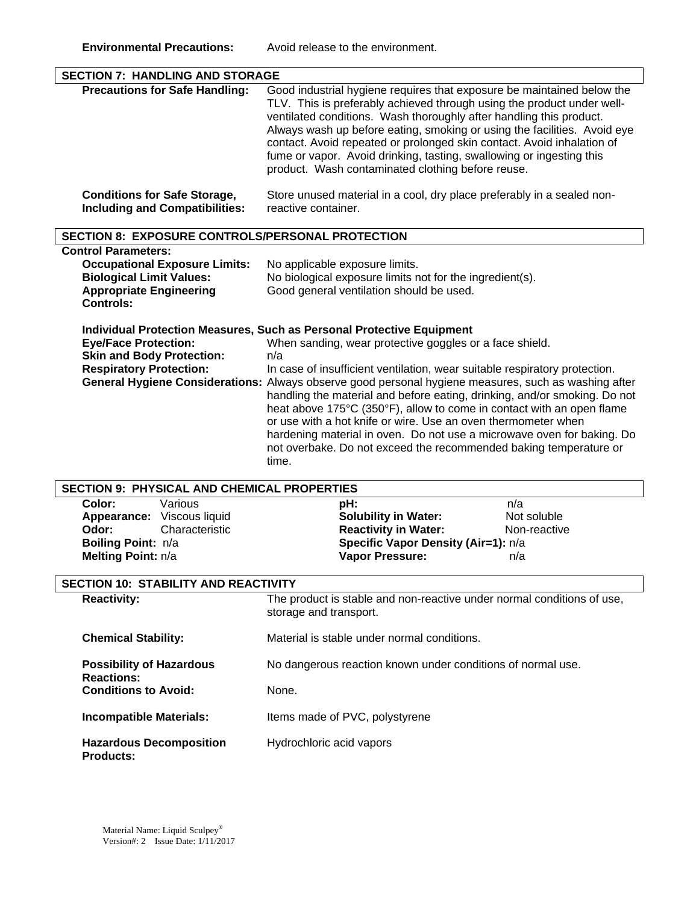| <b>SECTION 7: HANDLING AND STORAGE</b>                                                                                                                      |                                                                                                                                                                                                                                                                                                                                                                                                                                                                                                                                                                                                                                                                                                                     |  |  |
|-------------------------------------------------------------------------------------------------------------------------------------------------------------|---------------------------------------------------------------------------------------------------------------------------------------------------------------------------------------------------------------------------------------------------------------------------------------------------------------------------------------------------------------------------------------------------------------------------------------------------------------------------------------------------------------------------------------------------------------------------------------------------------------------------------------------------------------------------------------------------------------------|--|--|
| <b>Precautions for Safe Handling:</b>                                                                                                                       | Good industrial hygiene requires that exposure be maintained below the<br>TLV. This is preferably achieved through using the product under well-<br>ventilated conditions. Wash thoroughly after handling this product.<br>Always wash up before eating, smoking or using the facilities. Avoid eye<br>contact. Avoid repeated or prolonged skin contact. Avoid inhalation of<br>fume or vapor. Avoid drinking, tasting, swallowing or ingesting this<br>product. Wash contaminated clothing before reuse.                                                                                                                                                                                                          |  |  |
| <b>Conditions for Safe Storage,</b><br><b>Including and Compatibilities:</b>                                                                                | Store unused material in a cool, dry place preferably in a sealed non-<br>reactive container.                                                                                                                                                                                                                                                                                                                                                                                                                                                                                                                                                                                                                       |  |  |
| <b>SECTION 8: EXPOSURE CONTROLS/PERSONAL PROTECTION</b>                                                                                                     |                                                                                                                                                                                                                                                                                                                                                                                                                                                                                                                                                                                                                                                                                                                     |  |  |
| <b>Control Parameters:</b><br><b>Occupational Exposure Limits:</b><br><b>Biological Limit Values:</b><br><b>Appropriate Engineering</b><br><b>Controls:</b> | No applicable exposure limits.<br>No biological exposure limits not for the ingredient(s).<br>Good general ventilation should be used.                                                                                                                                                                                                                                                                                                                                                                                                                                                                                                                                                                              |  |  |
| <b>Eye/Face Protection:</b><br><b>Skin and Body Protection:</b><br><b>Respiratory Protection:</b>                                                           | <b>Individual Protection Measures, Such as Personal Protective Equipment</b><br>When sanding, wear protective goggles or a face shield.<br>n/a<br>In case of insufficient ventilation, wear suitable respiratory protection.<br>General Hygiene Considerations: Always observe good personal hygiene measures, such as washing after<br>handling the material and before eating, drinking, and/or smoking. Do not<br>heat above 175°C (350°F), allow to come in contact with an open flame<br>or use with a hot knife or wire. Use an oven thermometer when<br>hardening material in oven. Do not use a microwave oven for baking. Do<br>not overbake. Do not exceed the recommended baking temperature or<br>time. |  |  |
| <b>SECTION 9: PHYSICAL AND CHEMICAL PROPERTIES</b>                                                                                                          |                                                                                                                                                                                                                                                                                                                                                                                                                                                                                                                                                                                                                                                                                                                     |  |  |
| Color:<br>Various<br>Appearance: Viscous liquid<br>Characteristic<br>Odor:<br>Boiling Point: n/a<br>Melting Point: n/a                                      | n/a<br>pH:<br>Not soluble<br><b>Solubility in Water:</b><br><b>Reactivity in Water:</b><br>Non-reactive<br>Specific Vapor Density (Air=1): n/a<br>Vapor Pressure:<br>n/a                                                                                                                                                                                                                                                                                                                                                                                                                                                                                                                                            |  |  |
| <b>SECTION 10: STABILITY AND REACTIVITY</b>                                                                                                                 |                                                                                                                                                                                                                                                                                                                                                                                                                                                                                                                                                                                                                                                                                                                     |  |  |
| <b>Reactivity:</b>                                                                                                                                          | The product is stable and non-reactive under normal conditions of use,<br>storage and transport.                                                                                                                                                                                                                                                                                                                                                                                                                                                                                                                                                                                                                    |  |  |
| <b>Chemical Stability:</b>                                                                                                                                  | Material is stable under normal conditions.                                                                                                                                                                                                                                                                                                                                                                                                                                                                                                                                                                                                                                                                         |  |  |
| <b>Possibility of Hazardous</b><br><b>Reactions:</b>                                                                                                        | No dangerous reaction known under conditions of normal use.                                                                                                                                                                                                                                                                                                                                                                                                                                                                                                                                                                                                                                                         |  |  |
| <b>Conditions to Avoid:</b>                                                                                                                                 | None.                                                                                                                                                                                                                                                                                                                                                                                                                                                                                                                                                                                                                                                                                                               |  |  |
| <b>Incompatible Materials:</b>                                                                                                                              | Items made of PVC, polystyrene                                                                                                                                                                                                                                                                                                                                                                                                                                                                                                                                                                                                                                                                                      |  |  |
| <b>Hazardous Decomposition</b><br><b>Products:</b>                                                                                                          | Hydrochloric acid vapors                                                                                                                                                                                                                                                                                                                                                                                                                                                                                                                                                                                                                                                                                            |  |  |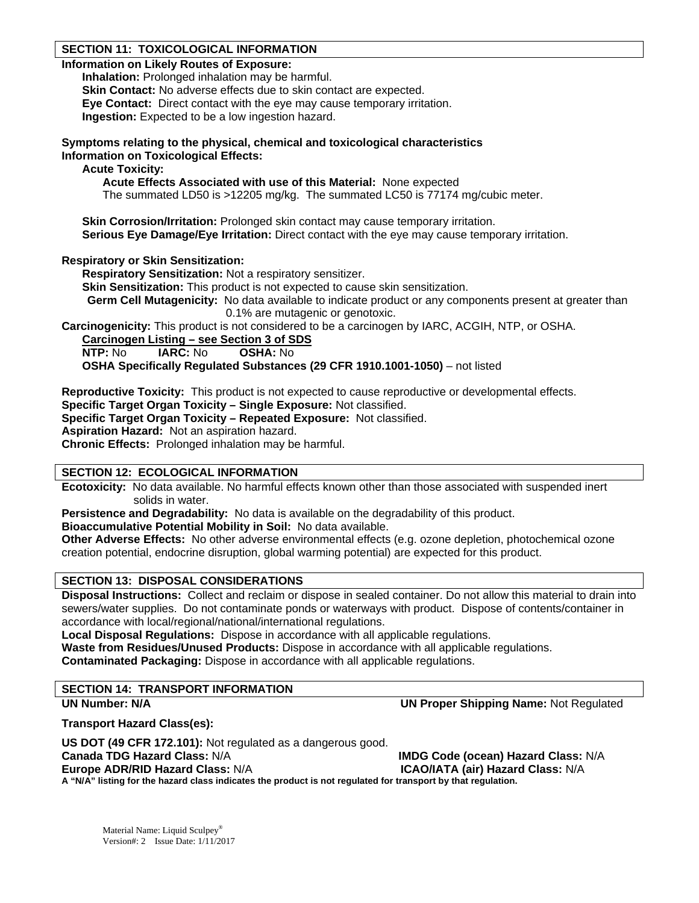# **SECTION 11: TOXICOLOGICAL INFORMATION**

## **Information on Likely Routes of Exposure:**

**Inhalation:** Prolonged inhalation may be harmful. **Skin Contact:** No adverse effects due to skin contact are expected. **Eye Contact:** Direct contact with the eye may cause temporary irritation. **Ingestion:** Expected to be a low ingestion hazard.

**Symptoms relating to the physical, chemical and toxicological characteristics Information on Toxicological Effects:** 

**Acute Toxicity:** 

 **Acute Effects Associated with use of this Material:** None expected

The summated LD50 is >12205 mg/kg. The summated LC50 is 77174 mg/cubic meter.

**Skin Corrosion/Irritation:** Prolonged skin contact may cause temporary irritation. **Serious Eve Damage/Eve Irritation:** Direct contact with the eve may cause temporary irritation.

# **Respiratory or Skin Sensitization:**

**Respiratory Sensitization:** Not a respiratory sensitizer.

**Skin Sensitization:** This product is not expected to cause skin sensitization.

**Germ Cell Mutagenicity:** No data available to indicate product or any components present at greater than 0.1% are mutagenic or genotoxic.

**Carcinogenicity:** This product is not considered to be a carcinogen by IARC, ACGIH, NTP, or OSHA.

**Carcinogen Listing – see Section 3 of SDS**

**NTP:** No **IARC:** No **OSHA:** No

**OSHA Specifically Regulated Substances (29 CFR 1910.1001-1050)** – not listed

**Reproductive Toxicity:** This product is not expected to cause reproductive or developmental effects.

**Specific Target Organ Toxicity – Single Exposure:** Not classified.

**Specific Target Organ Toxicity – Repeated Exposure:** Not classified.

**Aspiration Hazard:** Not an aspiration hazard.

**Chronic Effects:** Prolonged inhalation may be harmful.

# **SECTION 12: ECOLOGICAL INFORMATION**

**Ecotoxicity:** No data available. No harmful effects known other than those associated with suspended inert solids in water.

**Persistence and Degradability:** No data is available on the degradability of this product.

**Bioaccumulative Potential Mobility in Soil:** No data available.

**Other Adverse Effects:** No other adverse environmental effects (e.g. ozone depletion, photochemical ozone creation potential, endocrine disruption, global warming potential) are expected for this product.

# **SECTION 13: DISPOSAL CONSIDERATIONS**

**Disposal Instructions:** Collect and reclaim or dispose in sealed container. Do not allow this material to drain into sewers/water supplies. Do not contaminate ponds or waterways with product. Dispose of contents/container in accordance with local/regional/national/international regulations.

**Local Disposal Regulations:** Dispose in accordance with all applicable regulations.

**Waste from Residues/Unused Products:** Dispose in accordance with all applicable regulations.

**Contaminated Packaging:** Dispose in accordance with all applicable regulations.

# **SECTION 14: TRANSPORT INFORMATION**

**UN Number: N/A UN Proper Shipping Name:** Not Regulated

**Transport Hazard Class(es):** 

**US DOT (49 CFR 172.101):** Not regulated as a dangerous good. **Canada TDG Hazard Class:** N/A **IMDG Code (ocean) Hazard Class:** N/A **Europe ADR/RID Hazard Class:** N/A **ICAO/IATA (air) Hazard Class:** N/A **A "N/A" listing for the hazard class indicates the product is not regulated for transport by that regulation.**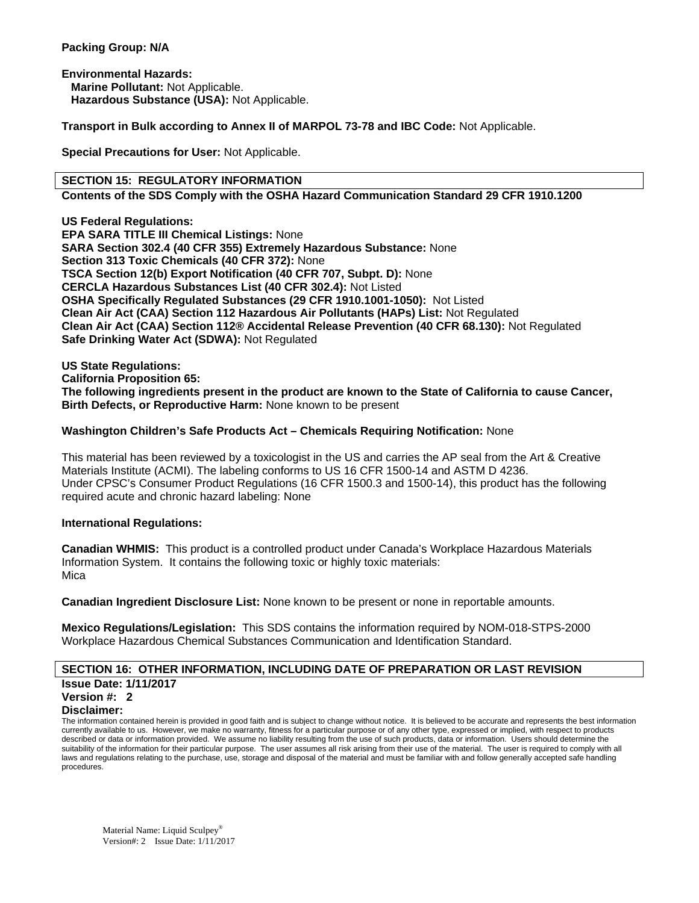## **Packing Group: N/A**

**Environmental Hazards: Marine Pollutant:** Not Applicable.  **Hazardous Substance (USA):** Not Applicable.

**Transport in Bulk according to Annex II of MARPOL 73-78 and IBC Code:** Not Applicable.

**Special Precautions for User:** Not Applicable.

#### **SECTION 15: REGULATORY INFORMATION**

**Contents of the SDS Comply with the OSHA Hazard Communication Standard 29 CFR 1910.1200** 

**US Federal Regulations: EPA SARA TITLE III Chemical Listings:** None **SARA Section 302.4 (40 CFR 355) Extremely Hazardous Substance:** None **Section 313 Toxic Chemicals (40 CFR 372):** None **TSCA Section 12(b) Export Notification (40 CFR 707, Subpt. D):** None **CERCLA Hazardous Substances List (40 CFR 302.4):** Not Listed **OSHA Specifically Regulated Substances (29 CFR 1910.1001-1050):** Not Listed **Clean Air Act (CAA) Section 112 Hazardous Air Pollutants (HAPs) List:** Not Regulated **Clean Air Act (CAA) Section 112® Accidental Release Prevention (40 CFR 68.130):** Not Regulated **Safe Drinking Water Act (SDWA):** Not Regulated

**US State Regulations:** 

**California Proposition 65:** 

**The following ingredients present in the product are known to the State of California to cause Cancer, Birth Defects, or Reproductive Harm:** None known to be present

## **Washington Children's Safe Products Act – Chemicals Requiring Notification:** None

This material has been reviewed by a toxicologist in the US and carries the AP seal from the Art & Creative Materials Institute (ACMI). The labeling conforms to US 16 CFR 1500-14 and ASTM D 4236. Under CPSC's Consumer Product Regulations (16 CFR 1500.3 and 1500-14), this product has the following required acute and chronic hazard labeling: None

#### **International Regulations:**

**Canadian WHMIS:** This product is a controlled product under Canada's Workplace Hazardous Materials Information System. It contains the following toxic or highly toxic materials: Mica

**Canadian Ingredient Disclosure List:** None known to be present or none in reportable amounts.

**Mexico Regulations/Legislation:** This SDS contains the information required by NOM-018-STPS-2000 Workplace Hazardous Chemical Substances Communication and Identification Standard.

## **SECTION 16: OTHER INFORMATION, INCLUDING DATE OF PREPARATION OR LAST REVISION Issue Date: 1/11/2017**

#### **Version #: 2**

#### **Disclaimer:**

The information contained herein is provided in good faith and is subject to change without notice. It is believed to be accurate and represents the best information currently available to us. However, we make no warranty, fitness for a particular purpose or of any other type, expressed or implied, with respect to products described or data or information provided. We assume no liability resulting from the use of such products, data or information. Users should determine the suitability of the information for their particular purpose. The user assumes all risk arising from their use of the material. The user is required to comply with all laws and regulations relating to the purchase, use, storage and disposal of the material and must be familiar with and follow generally accepted safe handling procedures.

Material Name: Liquid Sculpey® Version#: 2 Issue Date: 1/11/2017